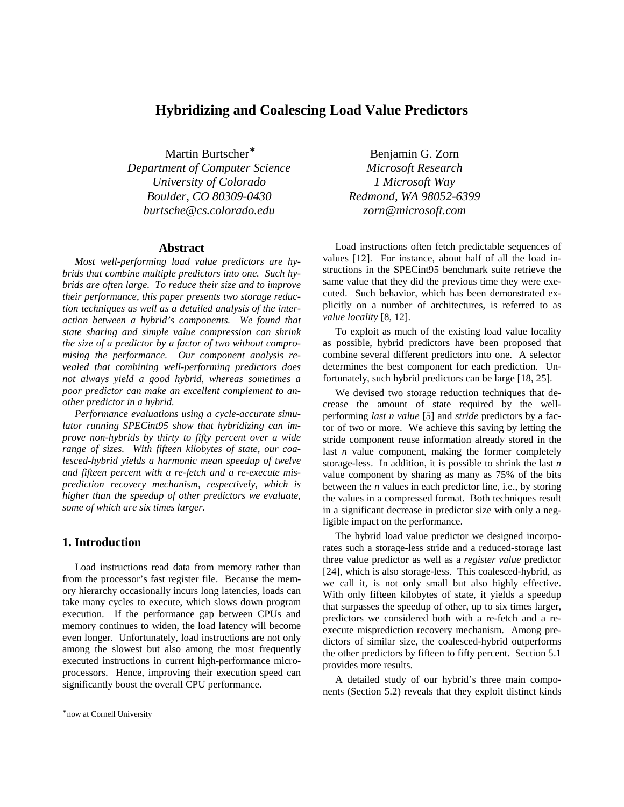# **Hybridizing and Coalescing Load Value Predictors**

Martin Burtscher *Department of Computer Science Microsoft Research University of Colorado 1 Microsoft Way Boulder, CO 80309-0430 Redmond, WA 98052-6399 burtsche@cs.colorado.edu zorn@microsoft.com*

#### **Abstract**

*Most well-performing load value predictors are hybrids that combine multiple predictors into one. Such hybrids are often large. To reduce their size and to improve their performance, this paper presents two storage reduction techniques as well as a detailed analysis of the interaction between a hybrid's components. We found that state sharing and simple value compression can shrink the size of a predictor by a factor of two without compromising the performance. Our component analysis revealed that combining well-performing predictors does not always yield a good hybrid, whereas sometimes a poor predictor can make an excellent complement to another predictor in a hybrid.*

*Performance evaluations using a cycle-accurate simulator running SPECint95 show that hybridizing can improve non-hybrids by thirty to fifty percent over a wide range of sizes. With fifteen kilobytes of state, our coalesced-hybrid yields a harmonic mean speedup of twelve and fifteen percent with a re-fetch and a re-execute misprediction recovery mechanism, respectively, which is higher than the speedup of other predictors we evaluate, some of which are six times larger.*

# **1. Introduction**

Load instructions read data from memory rather than from the processor's fast register file. Because the memory hierarchy occasionally incurs long latencies, loads can take many cycles to execute, which slows down program execution. If the performance gap between CPUs and memory continues to widen, the load latency will become even longer. Unfortunately, load instructions are not only among the slowest but also among the most frequently executed instructions in current high-performance microprocessors. Hence, improving their execution speed can significantly boost the overall CPU performance.

Benjamin G. Zorn

Load instructions often fetch predictable sequences of values [12]. For instance, about half of all the load instructions in the SPECint95 benchmark suite retrieve the same value that they did the previous time they were executed. Such behavior, which has been demonstrated explicitly on a number of architectures, is referred to as *value locality* [8, 12].

To exploit as much of the existing load value locality as possible, hybrid predictors have been proposed that combine several different predictors into one. A selector determines the best component for each prediction. Unfortunately, such hybrid predictors can be large [18, 25].

We devised two storage reduction techniques that decrease the amount of state required by the wellperforming *last n value* [5] and *stride* predictors by a factor of two or more. We achieve this saving by letting the stride component reuse information already stored in the last *n* value component, making the former completely storage-less. In addition, it is possible to shrink the last *n*  value component by sharing as many as 75% of the bits between the *n* values in each predictor line, i.e., by storing the values in a compressed format. Both techniques result in a significant decrease in predictor size with only a negligible impact on the performance.

The hybrid load value predictor we designed incorporates such a storage-less stride and a reduced-storage last three value predictor as well as a *register value* predictor [24], which is also storage-less. This coalesced-hybrid, as we call it, is not only small but also highly effective. With only fifteen kilobytes of state, it yields a speedup that surpasses the speedup of other, up to six times larger, predictors we considered both with a re-fetch and a reexecute misprediction recovery mechanism. Among predictors of similar size, the coalesced-hybrid outperforms the other predictors by fifteen to fifty percent. Section 5.1 provides more results.

A detailed study of our hybrid's three main components (Section 5.2) reveals that they exploit distinct kinds

-

<sup>∗</sup> now at Cornell University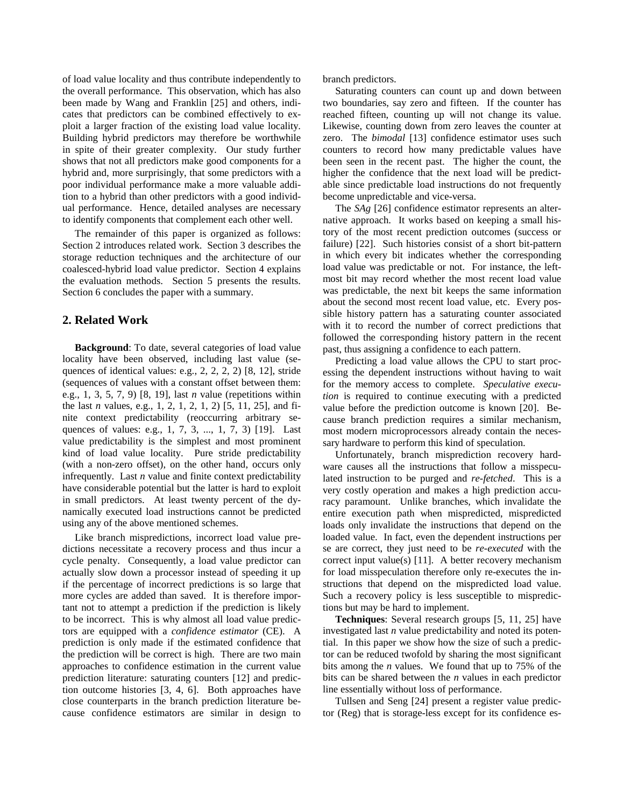of load value locality and thus contribute independently to the overall performance. This observation, which has also been made by Wang and Franklin [25] and others, indicates that predictors can be combined effectively to exploit a larger fraction of the existing load value locality. Building hybrid predictors may therefore be worthwhile in spite of their greater complexity. Our study further shows that not all predictors make good components for a hybrid and, more surprisingly, that some predictors with a poor individual performance make a more valuable addition to a hybrid than other predictors with a good individual performance. Hence, detailed analyses are necessary to identify components that complement each other well.

The remainder of this paper is organized as follows: Section 2 introduces related work. Section 3 describes the storage reduction techniques and the architecture of our coalesced-hybrid load value predictor. Section 4 explains the evaluation methods. Section 5 presents the results. Section 6 concludes the paper with a summary.

# **2. Related Work**

**Background**: To date, several categories of load value locality have been observed, including last value (sequences of identical values: e.g., 2, 2, 2, 2) [8, 12], stride (sequences of values with a constant offset between them: e.g., 1, 3, 5, 7, 9) [8, 19], last *n* value (repetitions within the last *n* values, e.g., 1, 2, 1, 2, 1, 2) [5, 11, 25], and finite context predictability (reoccurring arbitrary sequences of values: e.g., 1, 7, 3, ..., 1, 7, 3) [19]. Last value predictability is the simplest and most prominent kind of load value locality. Pure stride predictability (with a non-zero offset), on the other hand, occurs only infrequently. Last *n* value and finite context predictability have considerable potential but the latter is hard to exploit in small predictors. At least twenty percent of the dynamically executed load instructions cannot be predicted using any of the above mentioned schemes.

Like branch mispredictions, incorrect load value predictions necessitate a recovery process and thus incur a cycle penalty. Consequently, a load value predictor can actually slow down a processor instead of speeding it up if the percentage of incorrect predictions is so large that more cycles are added than saved. It is therefore important not to attempt a prediction if the prediction is likely to be incorrect. This is why almost all load value predictors are equipped with a *confidence estimator* (CE). A prediction is only made if the estimated confidence that the prediction will be correct is high. There are two main approaches to confidence estimation in the current value prediction literature: saturating counters [12] and prediction outcome histories [3, 4, 6]. Both approaches have close counterparts in the branch prediction literature because confidence estimators are similar in design to branch predictors.

Saturating counters can count up and down between two boundaries, say zero and fifteen. If the counter has reached fifteen, counting up will not change its value. Likewise, counting down from zero leaves the counter at zero. The *bimodal* [13] confidence estimator uses such counters to record how many predictable values have been seen in the recent past. The higher the count, the higher the confidence that the next load will be predictable since predictable load instructions do not frequently become unpredictable and vice-versa.

The *SAg* [26] confidence estimator represents an alternative approach. It works based on keeping a small history of the most recent prediction outcomes (success or failure) [22]. Such histories consist of a short bit-pattern in which every bit indicates whether the corresponding load value was predictable or not. For instance, the leftmost bit may record whether the most recent load value was predictable, the next bit keeps the same information about the second most recent load value, etc. Every possible history pattern has a saturating counter associated with it to record the number of correct predictions that followed the corresponding history pattern in the recent past, thus assigning a confidence to each pattern.

Predicting a load value allows the CPU to start processing the dependent instructions without having to wait for the memory access to complete. *Speculative execution* is required to continue executing with a predicted value before the prediction outcome is known [20]. Because branch prediction requires a similar mechanism, most modern microprocessors already contain the necessary hardware to perform this kind of speculation.

Unfortunately, branch misprediction recovery hardware causes all the instructions that follow a misspeculated instruction to be purged and *re-fetched*. This is a very costly operation and makes a high prediction accuracy paramount. Unlike branches, which invalidate the entire execution path when mispredicted, mispredicted loads only invalidate the instructions that depend on the loaded value. In fact, even the dependent instructions per se are correct, they just need to be *re-executed* with the correct input value(s) [11]. A better recovery mechanism for load misspeculation therefore only re-executes the instructions that depend on the mispredicted load value. Such a recovery policy is less susceptible to mispredictions but may be hard to implement.

**Techniques**: Several research groups [5, 11, 25] have investigated last *n* value predictability and noted its potential. In this paper we show how the size of such a predictor can be reduced twofold by sharing the most significant bits among the *n* values. We found that up to 75% of the bits can be shared between the *n* values in each predictor line essentially without loss of performance.

Tullsen and Seng [24] present a register value predictor (Reg) that is storage-less except for its confidence es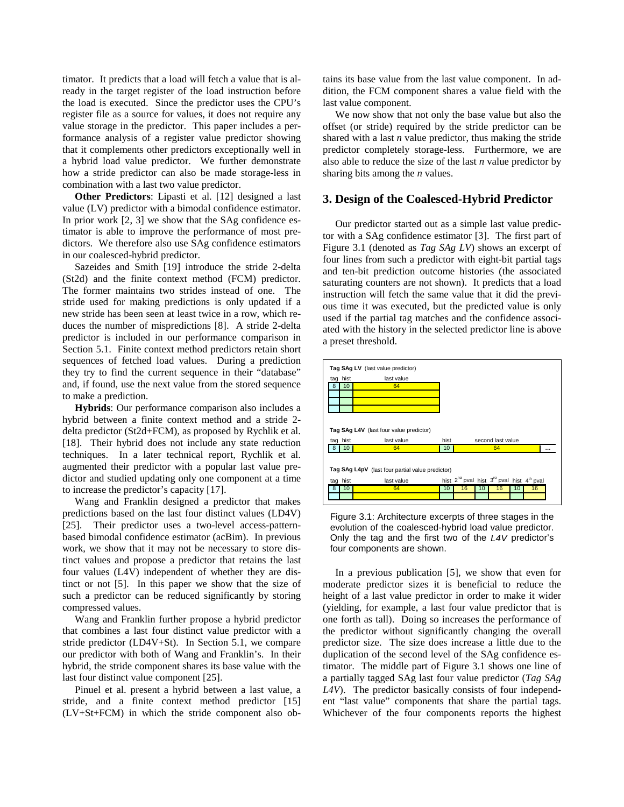timator. It predicts that a load will fetch a value that is already in the target register of the load instruction before the load is executed. Since the predictor uses the CPU's register file as a source for values, it does not require any value storage in the predictor. This paper includes a performance analysis of a register value predictor showing that it complements other predictors exceptionally well in a hybrid load value predictor. We further demonstrate how a stride predictor can also be made storage-less in combination with a last two value predictor.

**Other Predictors**: Lipasti et al. [12] designed a last value (LV) predictor with a bimodal confidence estimator. In prior work [2, 3] we show that the SAg confidence estimator is able to improve the performance of most predictors. We therefore also use SAg confidence estimators in our coalesced-hybrid predictor.

Sazeides and Smith [19] introduce the stride 2-delta (St2d) and the finite context method (FCM) predictor. The former maintains two strides instead of one. The stride used for making predictions is only updated if a new stride has been seen at least twice in a row, which reduces the number of mispredictions [8]. A stride 2-delta predictor is included in our performance comparison in Section 5.1. Finite context method predictors retain short sequences of fetched load values. During a prediction they try to find the current sequence in their "database" and, if found, use the next value from the stored sequence to make a prediction.

**Hybrids**: Our performance comparison also includes a hybrid between a finite context method and a stride 2 delta predictor (St2d+FCM), as proposed by Rychlik et al. [18]. Their hybrid does not include any state reduction techniques. In a later technical report, Rychlik et al. augmented their predictor with a popular last value predictor and studied updating only one component at a time to increase the predictor's capacity [17].

Wang and Franklin designed a predictor that makes predictions based on the last four distinct values (LD4V) [25]. Their predictor uses a two-level access-patternbased bimodal confidence estimator (acBim). In previous work, we show that it may not be necessary to store distinct values and propose a predictor that retains the last four values (L4V) independent of whether they are distinct or not [5]. In this paper we show that the size of such a predictor can be reduced significantly by storing compressed values.

Wang and Franklin further propose a hybrid predictor that combines a last four distinct value predictor with a stride predictor (LD4V+St). In Section 5.1, we compare our predictor with both of Wang and Franklin's. In their hybrid, the stride component shares its base value with the last four distinct value component [25].

Pinuel et al. present a hybrid between a last value, a stride, and a finite context method predictor [15] (LV+St+FCM) in which the stride component also obtains its base value from the last value component. In addition, the FCM component shares a value field with the last value component.

We now show that not only the base value but also the offset (or stride) required by the stride predictor can be shared with a last *n* value predictor, thus making the stride predictor completely storage-less. Furthermore, we are also able to reduce the size of the last *n* value predictor by sharing bits among the *n* values.

### **3. Design of the Coalesced-Hybrid Predictor**

Our predictor started out as a simple last value predictor with a SAg confidence estimator [3]. The first part of Figure 3.1 (denoted as *Tag SAg LV*) shows an excerpt of four lines from such a predictor with eight-bit partial tags and ten-bit prediction outcome histories (the associated saturating counters are not shown). It predicts that a load instruction will fetch the same value that it did the previous time it was executed, but the predicted value is only used if the partial tag matches and the confidence associated with the history in the selected predictor line is above a preset threshold.



Figure 3.1: Architecture excerpts of three stages in the evolution of the coalesced-hybrid load value predictor. Only the tag and the first two of the L4V predictor's four components are shown.

In a previous publication [5], we show that even for moderate predictor sizes it is beneficial to reduce the height of a last value predictor in order to make it wider (yielding, for example, a last four value predictor that is one forth as tall). Doing so increases the performance of the predictor without significantly changing the overall predictor size. The size does increase a little due to the duplication of the second level of the SAg confidence estimator. The middle part of Figure 3.1 shows one line of a partially tagged SAg last four value predictor (*Tag SAg L4V*). The predictor basically consists of four independent "last value" components that share the partial tags. Whichever of the four components reports the highest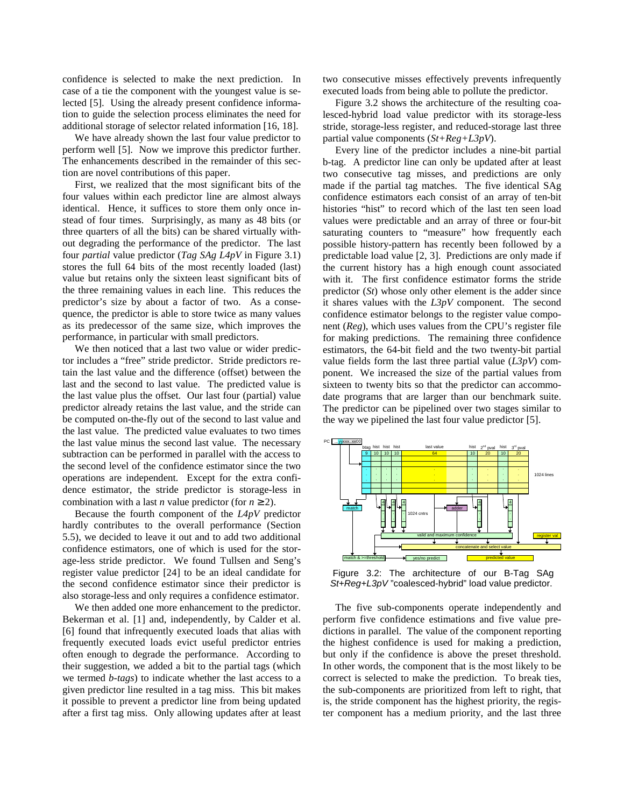confidence is selected to make the next prediction. In case of a tie the component with the youngest value is selected [5]. Using the already present confidence information to guide the selection process eliminates the need for additional storage of selector related information [16, 18].

We have already shown the last four value predictor to perform well [5]. Now we improve this predictor further. The enhancements described in the remainder of this section are novel contributions of this paper.

First, we realized that the most significant bits of the four values within each predictor line are almost always identical. Hence, it suffices to store them only once instead of four times. Surprisingly, as many as 48 bits (or three quarters of all the bits) can be shared virtually without degrading the performance of the predictor. The last four *partial* value predictor (*Tag SAg L4pV* in Figure 3.1) stores the full 64 bits of the most recently loaded (last) value but retains only the sixteen least significant bits of the three remaining values in each line. This reduces the predictor's size by about a factor of two. As a consequence, the predictor is able to store twice as many values as its predecessor of the same size, which improves the performance, in particular with small predictors.

We then noticed that a last two value or wider predictor includes a "free" stride predictor. Stride predictors retain the last value and the difference (offset) between the last and the second to last value. The predicted value is the last value plus the offset. Our last four (partial) value predictor already retains the last value, and the stride can be computed on-the-fly out of the second to last value and the last value. The predicted value evaluates to two times the last value minus the second last value. The necessary subtraction can be performed in parallel with the access to the second level of the confidence estimator since the two operations are independent. Except for the extra confidence estimator, the stride predictor is storage-less in combination with a last *n* value predictor (for  $n \ge 2$ ).

Because the fourth component of the *L4pV* predictor hardly contributes to the overall performance (Section 5.5), we decided to leave it out and to add two additional confidence estimators, one of which is used for the storage-less stride predictor. We found Tullsen and Seng's register value predictor [24] to be an ideal candidate for the second confidence estimator since their predictor is also storage-less and only requires a confidence estimator.

We then added one more enhancement to the predictor. Bekerman et al. [1] and, independently, by Calder et al. [6] found that infrequently executed loads that alias with frequently executed loads evict useful predictor entries often enough to degrade the performance. According to their suggestion, we added a bit to the partial tags (which we termed *b-tags*) to indicate whether the last access to a given predictor line resulted in a tag miss. This bit makes it possible to prevent a predictor line from being updated after a first tag miss. Only allowing updates after at least two consecutive misses effectively prevents infrequently executed loads from being able to pollute the predictor.

Figure 3.2 shows the architecture of the resulting coalesced-hybrid load value predictor with its storage-less stride, storage-less register, and reduced-storage last three partial value components (*St+Reg+L3pV*).

Every line of the predictor includes a nine-bit partial b-tag. A predictor line can only be updated after at least two consecutive tag misses, and predictions are only made if the partial tag matches. The five identical SAg confidence estimators each consist of an array of ten-bit histories "hist" to record which of the last ten seen load values were predictable and an array of three or four-bit saturating counters to "measure" how frequently each possible history-pattern has recently been followed by a predictable load value [2, 3]. Predictions are only made if the current history has a high enough count associated with it. The first confidence estimator forms the stride predictor (*St*) whose only other element is the adder since it shares values with the *L3pV* component. The second confidence estimator belongs to the register value component (*Reg*), which uses values from the CPU's register file for making predictions. The remaining three confidence estimators, the 64-bit field and the two twenty-bit partial value fields form the last three partial value (*L3pV*) component. We increased the size of the partial values from sixteen to twenty bits so that the predictor can accommodate programs that are larger than our benchmark suite. The predictor can be pipelined over two stages similar to the way we pipelined the last four value predictor [5].



Figure 3.2: The architecture of our B-Tag SAg St+Reg+L3pV "coalesced-hybrid" load value predictor.

The five sub-components operate independently and perform five confidence estimations and five value predictions in parallel. The value of the component reporting the highest confidence is used for making a prediction, but only if the confidence is above the preset threshold. In other words, the component that is the most likely to be correct is selected to make the prediction. To break ties, the sub-components are prioritized from left to right, that is, the stride component has the highest priority, the register component has a medium priority, and the last three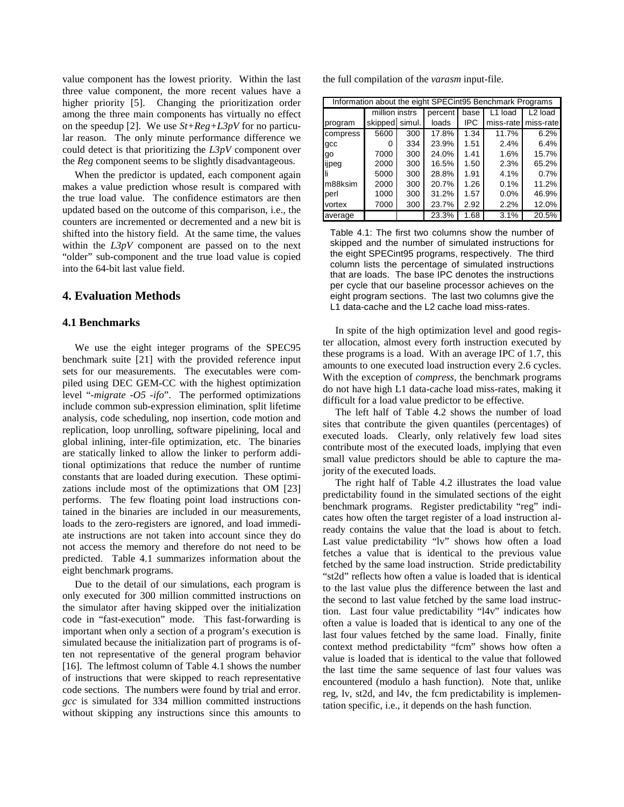value component has the lowest priority. Within the last three value component, the more recent values have a higher priority [5]. Changing the prioritization order among the three main components has virtually no effect on the speedup [2]. We use *St+Reg+L3pV* for no particular reason. The only minute performance difference we could detect is that prioritizing the *L3pV* component over the *Reg* component seems to be slightly disadvantageous.

When the predictor is updated, each component again makes a value prediction whose result is compared with the true load value. The confidence estimators are then updated based on the outcome of this comparison, i.e., the counters are incremented or decremented and a new bit is shifted into the history field. At the same time, the values within the *L3pV* component are passed on to the next "older" sub-component and the true load value is copied into the 64-bit last value field.

# **4. Evaluation Methods**

#### **4.1 Benchmarks**

We use the eight integer programs of the SPEC95 benchmark suite [21] with the provided reference input sets for our measurements. The executables were compiled using DEC GEM-CC with the highest optimization level "*-migrate -O5 -ifo*". The performed optimizations include common sub-expression elimination, split lifetime analysis, code scheduling, nop insertion, code motion and replication, loop unrolling, software pipelining, local and global inlining, inter-file optimization, etc. The binaries are statically linked to allow the linker to perform additional optimizations that reduce the number of runtime constants that are loaded during execution. These optimizations include most of the optimizations that OM [23] performs. The few floating point load instructions contained in the binaries are included in our measurements, loads to the zero-registers are ignored, and load immediate instructions are not taken into account since they do not access the memory and therefore do not need to be predicted. Table 4.1 summarizes information about the eight benchmark programs.

Due to the detail of our simulations, each program is only executed for 300 million committed instructions on the simulator after having skipped over the initialization code in "fast-execution" mode. This fast-forwarding is important when only a section of a program's execution is simulated because the initialization part of programs is often not representative of the general program behavior [16]. The leftmost column of Table 4.1 shows the number of instructions that were skipped to reach representative code sections. The numbers were found by trial and error. *gcc* is simulated for 334 million committed instructions without skipping any instructions since this amounts to the full compilation of the *varasm* input-file.

| Information about the eight SPECint95 Benchmark Programs |                |     |         |            |           |                     |  |  |  |
|----------------------------------------------------------|----------------|-----|---------|------------|-----------|---------------------|--|--|--|
|                                                          | million instrs |     | percent | base       | L1 load   | L <sub>2</sub> load |  |  |  |
| program                                                  | skipped simul. |     | loads   | <b>IPC</b> | miss-rate | miss-rate           |  |  |  |
| compress                                                 | 5600           | 300 | 17.8%   | 1.34       | 11.7%     | 6.2%                |  |  |  |
| qcc                                                      | O              | 334 | 23.9%   | 1.51       | 2.4%      | 6.4%                |  |  |  |
| qo                                                       | 7000           | 300 | 24.0%   | 1.41       | 1.6%      | 15.7%               |  |  |  |
| ijpeg                                                    | 2000           | 300 | 16.5%   | 1.50       | 2.3%      | 65.2%               |  |  |  |
|                                                          | 5000           | 300 | 28.8%   | 1.91       | 4.1%      | 0.7%                |  |  |  |
| m88ksim                                                  | 2000           | 300 | 20.7%   | 1.26       | $0.1\%$   | 11.2%               |  |  |  |
| perl                                                     | 1000           | 300 | 31.2%   | 1.57       | $0.0\%$   | 46.9%               |  |  |  |
| vortex                                                   | 7000           | 300 | 23.7%   | 2.92       | 2.2%      | 12.0%               |  |  |  |
| average                                                  |                |     | 23.3%   | 1.68       | 3.1%      | 20.5%               |  |  |  |

Table 4.1: The first two columns show the number of skipped and the number of simulated instructions for the eight SPECint95 programs, respectively. The third column lists the percentage of simulated instructions that are loads. The base IPC denotes the instructions per cycle that our baseline processor achieves on the eight program sections. The last two columns give the L1 data-cache and the L2 cache load miss-rates.

In spite of the high optimization level and good register allocation, almost every forth instruction executed by these programs is a load. With an average IPC of 1.7, this amounts to one executed load instruction every 2.6 cycles. With the exception of *compress*, the benchmark programs do not have high L1 data-cache load miss-rates, making it difficult for a load value predictor to be effective.

The left half of Table 4.2 shows the number of load sites that contribute the given quantiles (percentages) of executed loads. Clearly, only relatively few load sites contribute most of the executed loads, implying that even small value predictors should be able to capture the majority of the executed loads.

The right half of Table 4.2 illustrates the load value predictability found in the simulated sections of the eight benchmark programs. Register predictability "reg" indicates how often the target register of a load instruction already contains the value that the load is about to fetch. Last value predictability "lv" shows how often a load fetches a value that is identical to the previous value fetched by the same load instruction. Stride predictability "st2d" reflects how often a value is loaded that is identical to the last value plus the difference between the last and the second to last value fetched by the same load instruction. Last four value predictability "l4v" indicates how often a value is loaded that is identical to any one of the last four values fetched by the same load. Finally, finite context method predictability "fcm" shows how often a value is loaded that is identical to the value that followed the last time the same sequence of last four values was encountered (modulo a hash function). Note that, unlike reg, lv, st2d, and l4v, the fcm predictability is implementation specific, i.e., it depends on the hash function.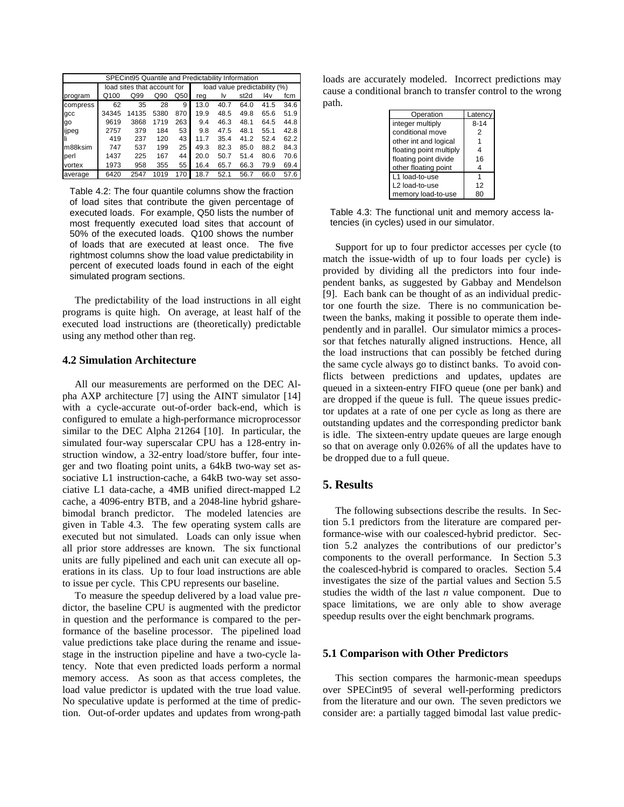| SPECint95 Quantile and Predictability Information |       |                             |                               |     |      |      |                  |      |      |
|---------------------------------------------------|-------|-----------------------------|-------------------------------|-----|------|------|------------------|------|------|
|                                                   |       | load sites that account for | load value predictability (%) |     |      |      |                  |      |      |
| program                                           | Q100  | Q99                         | Q90                           | Q50 | reg  | l٧   | st <sub>2d</sub> | l4v  | fcm  |
| compress                                          | 62    | 35                          | 28                            | 9   | 13.0 | 40.7 | 64.0             | 41.5 | 34.6 |
| gcc                                               | 34345 | 14135                       | 5380                          | 870 | 19.9 | 48.5 | 49.8             | 65.6 | 51.9 |
| go                                                | 9619  | 3868                        | 1719                          | 263 | 9.4  | 46.3 | 48.1             | 64.5 | 44.8 |
| ijpeg                                             | 2757  | 379                         | 184                           | 53  | 9.8  | 47.5 | 48.1             | 55.1 | 42.8 |
|                                                   | 419   | 237                         | 120                           | 43  | 11.7 | 35.4 | 41.2             | 52.4 | 62.2 |
| m88ksim                                           | 747   | 537                         | 199                           | 25  | 49.3 | 82.3 | 85.0             | 88.2 | 84.3 |
| perl                                              | 1437  | 225                         | 167                           | 44  | 20.0 | 50.7 | 51.4             | 80.6 | 70.6 |
| vortex                                            | 1973  | 958                         | 355                           | 55  | 16.4 | 65.7 | 66.3             | 79.9 | 69.4 |
| average                                           | 6420  | 2547                        | 1019                          | 170 | 18.7 | 52.1 | 56.7             | 66.0 | 57.6 |

Table 4.2: The four quantile columns show the fraction of load sites that contribute the given percentage of executed loads. For example, Q50 lists the number of most frequently executed load sites that account of 50% of the executed loads. Q100 shows the number of loads that are executed at least once. The five rightmost columns show the load value predictability in percent of executed loads found in each of the eight simulated program sections.

The predictability of the load instructions in all eight programs is quite high. On average, at least half of the executed load instructions are (theoretically) predictable using any method other than reg.

#### **4.2 Simulation Architecture**

All our measurements are performed on the DEC Alpha AXP architecture [7] using the AINT simulator [14] with a cycle-accurate out-of-order back-end, which is configured to emulate a high-performance microprocessor similar to the DEC Alpha 21264 [10]. In particular, the simulated four-way superscalar CPU has a 128-entry instruction window, a 32-entry load/store buffer, four integer and two floating point units, a 64kB two-way set associative L1 instruction-cache, a 64kB two-way set associative L1 data-cache, a 4MB unified direct-mapped L2 cache, a 4096-entry BTB, and a 2048-line hybrid gsharebimodal branch predictor. The modeled latencies are given in Table 4.3. The few operating system calls are executed but not simulated. Loads can only issue when all prior store addresses are known. The six functional units are fully pipelined and each unit can execute all operations in its class. Up to four load instructions are able to issue per cycle. This CPU represents our baseline.

To measure the speedup delivered by a load value predictor, the baseline CPU is augmented with the predictor in question and the performance is compared to the performance of the baseline processor. The pipelined load value predictions take place during the rename and issuestage in the instruction pipeline and have a two-cycle latency. Note that even predicted loads perform a normal memory access. As soon as that access completes, the load value predictor is updated with the true load value. No speculative update is performed at the time of prediction. Out-of-order updates and updates from wrong-path

loads are accurately modeled. Incorrect predictions may cause a conditional branch to transfer control to the wrong path.

| Operation               | Latency  |
|-------------------------|----------|
| integer multiply        | $8 - 14$ |
| conditional move        | 2        |
| other int and logical   |          |
| floating point multiply | 4        |
| floating point divide   | 16       |
| other floating point    | 4        |
| L1 load-to-use          |          |
| L2 load-to-use          | 12       |
| memory load-to-use      |          |

Table 4.3: The functional unit and memory access latencies (in cycles) used in our simulator.

Support for up to four predictor accesses per cycle (to match the issue-width of up to four loads per cycle) is provided by dividing all the predictors into four independent banks, as suggested by Gabbay and Mendelson [9]. Each bank can be thought of as an individual predictor one fourth the size. There is no communication between the banks, making it possible to operate them independently and in parallel. Our simulator mimics a processor that fetches naturally aligned instructions. Hence, all the load instructions that can possibly be fetched during the same cycle always go to distinct banks. To avoid conflicts between predictions and updates, updates are queued in a sixteen-entry FIFO queue (one per bank) and are dropped if the queue is full. The queue issues predictor updates at a rate of one per cycle as long as there are outstanding updates and the corresponding predictor bank is idle. The sixteen-entry update queues are large enough so that on average only 0.026% of all the updates have to be dropped due to a full queue.

# **5. Results**

The following subsections describe the results. In Section 5.1 predictors from the literature are compared performance-wise with our coalesced-hybrid predictor. Section 5.2 analyzes the contributions of our predictor's components to the overall performance. In Section 5.3 the coalesced-hybrid is compared to oracles. Section 5.4 investigates the size of the partial values and Section 5.5 studies the width of the last *n* value component. Due to space limitations, we are only able to show average speedup results over the eight benchmark programs.

#### **5.1 Comparison with Other Predictors**

This section compares the harmonic-mean speedups over SPECint95 of several well-performing predictors from the literature and our own. The seven predictors we consider are: a partially tagged bimodal last value predic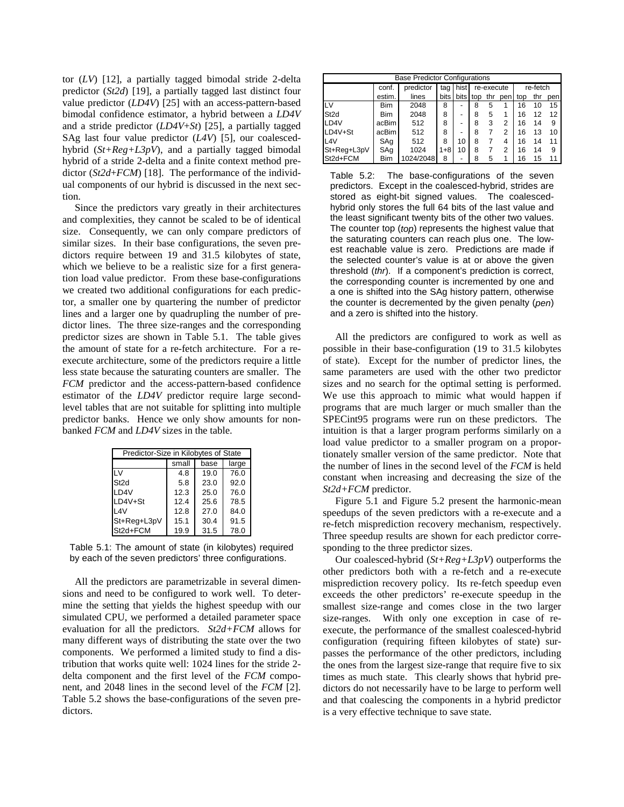tor (*LV*) [12], a partially tagged bimodal stride 2-delta predictor (*St2d*) [19], a partially tagged last distinct four value predictor (*LD4V*) [25] with an access-pattern-based bimodal confidence estimator, a hybrid between a *LD4V* and a stride predictor (*LD4V*+*St*) [25], a partially tagged SAg last four value predictor (*L4V*) [5], our coalescedhybrid (*St+Reg+L3pV*), and a partially tagged bimodal hybrid of a stride 2-delta and a finite context method predictor (*St2d*+*FCM*) [18]. The performance of the individual components of our hybrid is discussed in the next section.

Since the predictors vary greatly in their architectures and complexities, they cannot be scaled to be of identical size. Consequently, we can only compare predictors of similar sizes. In their base configurations, the seven predictors require between 19 and 31.5 kilobytes of state, which we believe to be a realistic size for a first generation load value predictor. From these base-configurations we created two additional configurations for each predictor, a smaller one by quartering the number of predictor lines and a larger one by quadrupling the number of predictor lines. The three size-ranges and the corresponding predictor sizes are shown in Table 5.1. The table gives the amount of state for a re-fetch architecture. For a reexecute architecture, some of the predictors require a little less state because the saturating counters are smaller. The *FCM* predictor and the access-pattern-based confidence estimator of the *LD4V* predictor require large secondlevel tables that are not suitable for splitting into multiple predictor banks. Hence we only show amounts for nonbanked *FCM* and *LD4V* sizes in the table.

| Predictor-Size in Kilobytes of State |       |      |       |  |  |  |  |
|--------------------------------------|-------|------|-------|--|--|--|--|
|                                      | small | base | large |  |  |  |  |
| LV                                   | 4.8   | 19.0 | 76.0  |  |  |  |  |
| St <sub>2d</sub>                     | 5.8   | 23.0 | 92.0  |  |  |  |  |
| LD4V                                 | 12.3  | 25.0 | 76.0  |  |  |  |  |
| LD4V+St                              | 12.4  | 25.6 | 78.5  |  |  |  |  |
| 14V                                  | 12.8  | 27.0 | 84.0  |  |  |  |  |
| St+Reg+L3pV                          | 15.1  | 30.4 | 91.5  |  |  |  |  |
| St2d+FCM                             | 19.9  | 31.5 | 78.0  |  |  |  |  |

Table 5.1: The amount of state (in kilobytes) required by each of the seven predictors' three configurations.

All the predictors are parametrizable in several dimensions and need to be configured to work well. To determine the setting that yields the highest speedup with our simulated CPU, we performed a detailed parameter space evaluation for all the predictors. *St2d+FCM* allows for many different ways of distributing the state over the two components. We performed a limited study to find a distribution that works quite well: 1024 lines for the stride 2 delta component and the first level of the *FCM* component, and 2048 lines in the second level of the *FCM* [2]. Table 5.2 shows the base-configurations of the seven predictors.

| <b>Base Predictor Configurations</b> |            |           |        |          |            |     |          |     |     |     |
|--------------------------------------|------------|-----------|--------|----------|------------|-----|----------|-----|-----|-----|
|                                      | conf.      | predictor | tag    | hist     | re-execute |     | re-fetch |     |     |     |
|                                      | estim.     | lines     | bits I | bits top |            | thr | pen      | top | thr | pen |
| LV                                   | <b>Bim</b> | 2048      | 8      | -        | 8          | 5   |          | 16  | 10  | 15  |
| St <sub>2d</sub>                     | <b>Bim</b> | 2048      | 8      | -        | 8          | 5   |          | 16  | 12  | 12  |
| LD4V                                 | acBim      | 512       | 8      | -        | 8          | 3   | 2        | 16  | 14  | 9   |
| LD4V+St                              | acBim      | 512       | 8      | -        | 8          |     | 2        | 16  | 13  | 10  |
| L <sub>4</sub> V                     | SAg        | 512       | 8      | 10       | 8          |     | 4        | 16  | 14  | 11  |
| St+Reg+L3pV                          | SAg        | 1024      | $1+8$  | 10       | 8          |     | 2        | 16  | 14  | 9   |
| St2d+FCM                             | <b>Bim</b> | 1024/2048 | 8      |          | 8          | 5   |          | 16  | 15  | 11  |

Table 5.2: The base-configurations of the seven predictors. Except in the coalesced-hybrid, strides are stored as eight-bit signed values. The coalescedhybrid only stores the full 64 bits of the last value and the least significant twenty bits of the other two values. The counter top (top) represents the highest value that the saturating counters can reach plus one. The lowest reachable value is zero. Predictions are made if the selected counter's value is at or above the given threshold (thr). If a component's prediction is correct, the corresponding counter is incremented by one and a one is shifted into the SAg history pattern, otherwise the counter is decremented by the given penalty ( $pen$ ) and a zero is shifted into the history.

All the predictors are configured to work as well as possible in their base-configuration (19 to 31.5 kilobytes of state). Except for the number of predictor lines, the same parameters are used with the other two predictor sizes and no search for the optimal setting is performed. We use this approach to mimic what would happen if programs that are much larger or much smaller than the SPECint95 programs were run on these predictors. The intuition is that a larger program performs similarly on a load value predictor to a smaller program on a proportionately smaller version of the same predictor. Note that the number of lines in the second level of the *FCM* is held constant when increasing and decreasing the size of the *St2d+FCM* predictor.

Figure 5.1 and Figure 5.2 present the harmonic-mean speedups of the seven predictors with a re-execute and a re-fetch misprediction recovery mechanism, respectively. Three speedup results are shown for each predictor corresponding to the three predictor sizes.

Our coalesced-hybrid (*St+Reg+L3pV*) outperforms the other predictors both with a re-fetch and a re-execute misprediction recovery policy. Its re-fetch speedup even exceeds the other predictors' re-execute speedup in the smallest size-range and comes close in the two larger size-ranges. With only one exception in case of reexecute, the performance of the smallest coalesced-hybrid configuration (requiring fifteen kilobytes of state) surpasses the performance of the other predictors, including the ones from the largest size-range that require five to six times as much state. This clearly shows that hybrid predictors do not necessarily have to be large to perform well and that coalescing the components in a hybrid predictor is a very effective technique to save state.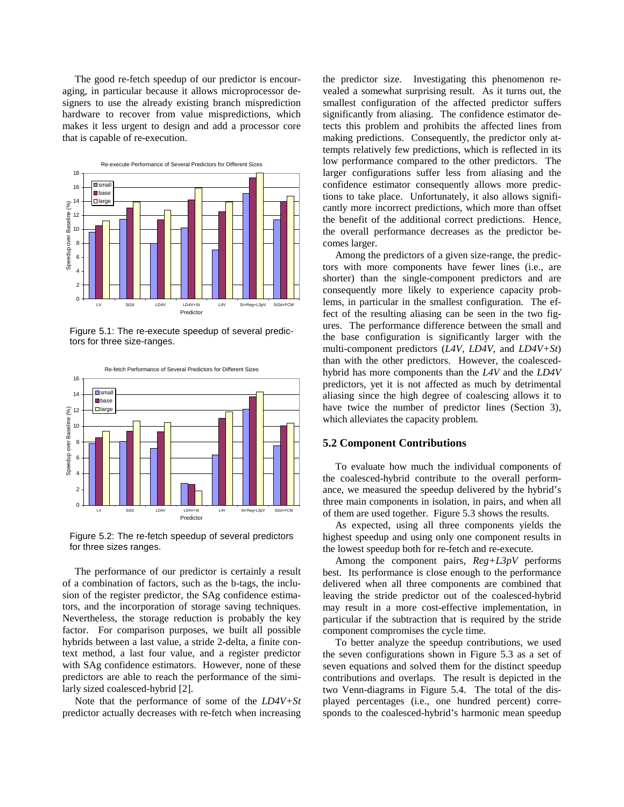The good re-fetch speedup of our predictor is encouraging, in particular because it allows microprocessor designers to use the already existing branch misprediction hardware to recover from value mispredictions, which makes it less urgent to design and add a processor core that is capable of re-execution.



Figure 5.1: The re-execute speedup of several predictors for three size-ranges.



Figure 5.2: The re-fetch speedup of several predictors for three sizes ranges.

The performance of our predictor is certainly a result of a combination of factors, such as the b-tags, the inclusion of the register predictor, the SAg confidence estimators, and the incorporation of storage saving techniques. Nevertheless, the storage reduction is probably the key factor. For comparison purposes, we built all possible hybrids between a last value, a stride 2-delta, a finite context method, a last four value, and a register predictor with SAg confidence estimators. However, none of these predictors are able to reach the performance of the similarly sized coalesced-hybrid [2].

Note that the performance of some of the *LD4V+St* predictor actually decreases with re-fetch when increasing the predictor size. Investigating this phenomenon revealed a somewhat surprising result. As it turns out, the smallest configuration of the affected predictor suffers significantly from aliasing. The confidence estimator detects this problem and prohibits the affected lines from making predictions. Consequently, the predictor only attempts relatively few predictions, which is reflected in its low performance compared to the other predictors. The larger configurations suffer less from aliasing and the confidence estimator consequently allows more predictions to take place. Unfortunately, it also allows significantly more incorrect predictions, which more than offset the benefit of the additional correct predictions. Hence, the overall performance decreases as the predictor becomes larger.

Among the predictors of a given size-range, the predictors with more components have fewer lines (i.e., are shorter) than the single-component predictors and are consequently more likely to experience capacity problems, in particular in the smallest configuration. The effect of the resulting aliasing can be seen in the two figures. The performance difference between the small and the base configuration is significantly larger with the multi-component predictors (*L4V*, *LD4V*, and *LD4V+St*) than with the other predictors. However, the coalescedhybrid has more components than the *L4V* and the *LD4V* predictors, yet it is not affected as much by detrimental aliasing since the high degree of coalescing allows it to have twice the number of predictor lines (Section 3), which alleviates the capacity problem.

#### **5.2 Component Contributions**

To evaluate how much the individual components of the coalesced-hybrid contribute to the overall performance, we measured the speedup delivered by the hybrid's three main components in isolation, in pairs, and when all of them are used together. Figure 5.3 shows the results.

As expected, using all three components yields the highest speedup and using only one component results in the lowest speedup both for re-fetch and re-execute.

Among the component pairs, *Reg+L3pV* performs best. Its performance is close enough to the performance delivered when all three components are combined that leaving the stride predictor out of the coalesced-hybrid may result in a more cost-effective implementation, in particular if the subtraction that is required by the stride component compromises the cycle time.

To better analyze the speedup contributions, we used the seven configurations shown in Figure 5.3 as a set of seven equations and solved them for the distinct speedup contributions and overlaps. The result is depicted in the two Venn-diagrams in Figure 5.4. The total of the displayed percentages (i.e., one hundred percent) corresponds to the coalesced-hybrid's harmonic mean speedup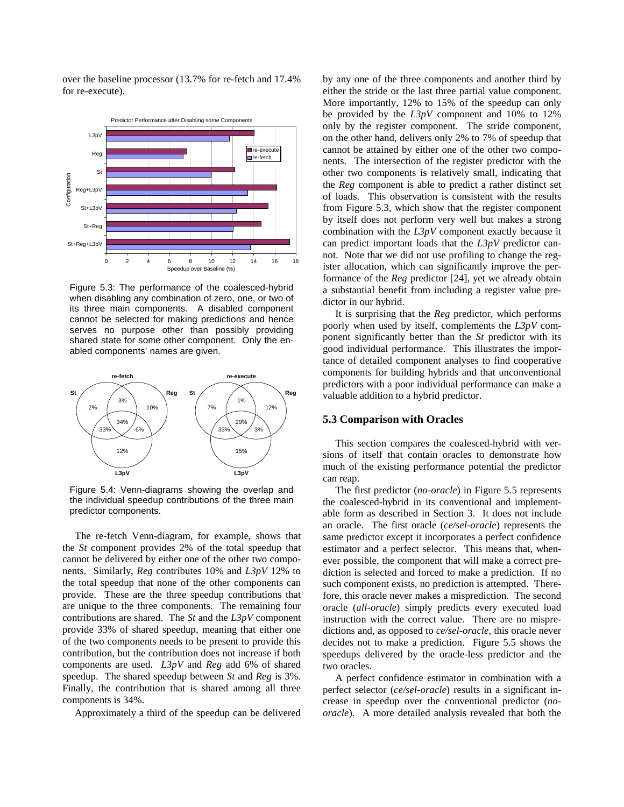over the baseline processor (13.7% for re-fetch and 17.4% for re-execute).



Figure 5.3: The performance of the coalesced-hybrid when disabling any combination of zero, one, or two of its three main components. A disabled component cannot be selected for making predictions and hence serves no purpose other than possibly providing shared state for some other component. Only the enabled components' names are given.



Figure 5.4: Venn-diagrams showing the overlap and the individual speedup contributions of the three main predictor components.

The re-fetch Venn-diagram, for example, shows that the *St* component provides 2% of the total speedup that cannot be delivered by either one of the other two components. Similarly, *Reg* contributes 10% and *L3pV* 12% to the total speedup that none of the other components can provide. These are the three speedup contributions that are unique to the three components. The remaining four contributions are shared. The *St* and the *L3pV* component provide 33% of shared speedup, meaning that either one of the two components needs to be present to provide this contribution, but the contribution does not increase if both components are used. *L3pV* and *Reg* add 6% of shared speedup. The shared speedup between *St* and *Reg* is 3%. Finally, the contribution that is shared among all three components is 34%.

Approximately a third of the speedup can be delivered

by any one of the three components and another third by either the stride or the last three partial value component. More importantly, 12% to 15% of the speedup can only be provided by the *L3pV* component and 10% to 12% only by the register component. The stride component, on the other hand, delivers only 2% to 7% of speedup that cannot be attained by either one of the other two components. The intersection of the register predictor with the other two components is relatively small, indicating that the *Reg* component is able to predict a rather distinct set of loads. This observation is consistent with the results from Figure 5.3, which show that the register component by itself does not perform very well but makes a strong combination with the *L3pV* component exactly because it can predict important loads that the *L3pV* predictor cannot. Note that we did not use profiling to change the register allocation, which can significantly improve the performance of the *Reg* predictor [24], yet we already obtain a substantial benefit from including a register value predictor in our hybrid.

It is surprising that the *Reg* predictor, which performs poorly when used by itself, complements the *L3pV* component significantly better than the *St* predictor with its good individual performance. This illustrates the importance of detailed component analyses to find cooperative components for building hybrids and that unconventional predictors with a poor individual performance can make a valuable addition to a hybrid predictor.

#### **5.3 Comparison with Oracles**

This section compares the coalesced-hybrid with versions of itself that contain oracles to demonstrate how much of the existing performance potential the predictor can reap.

The first predictor (*no-oracle*) in Figure 5.5 represents the coalesced-hybrid in its conventional and implementable form as described in Section 3. It does not include an oracle. The first oracle (*ce/sel-oracle*) represents the same predictor except it incorporates a perfect confidence estimator and a perfect selector. This means that, whenever possible, the component that will make a correct prediction is selected and forced to make a prediction. If no such component exists, no prediction is attempted. Therefore, this oracle never makes a misprediction. The second oracle (*all-oracle*) simply predicts every executed load instruction with the correct value. There are no mispredictions and, as opposed to *ce/sel-oracle*, this oracle never decides not to make a prediction. Figure 5.5 shows the speedups delivered by the oracle-less predictor and the two oracles.

A perfect confidence estimator in combination with a perfect selector (*ce/sel-oracle*) results in a significant increase in speedup over the conventional predictor (*nooracle*). A more detailed analysis revealed that both the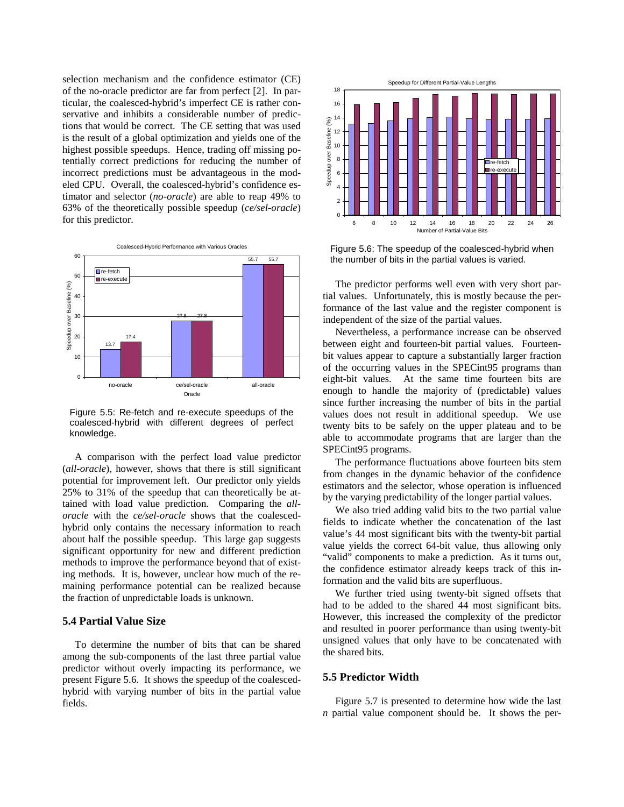selection mechanism and the confidence estimator (CE) of the no-oracle predictor are far from perfect [2]. In particular, the coalesced-hybrid's imperfect CE is rather conservative and inhibits a considerable number of predictions that would be correct. The CE setting that was used is the result of a global optimization and yields one of the highest possible speedups. Hence, trading off missing potentially correct predictions for reducing the number of incorrect predictions must be advantageous in the modeled CPU. Overall, the coalesced-hybrid's confidence estimator and selector (*no-oracle*) are able to reap 49% to 63% of the theoretically possible speedup (*ce/sel-oracle*) for this predictor.



Figure 5.5: Re-fetch and re-execute speedups of the coalesced-hybrid with different degrees of perfect knowledge.

A comparison with the perfect load value predictor (*all-oracle*), however, shows that there is still significant potential for improvement left. Our predictor only yields 25% to 31% of the speedup that can theoretically be attained with load value prediction. Comparing the *alloracle* with the *ce/sel-oracle* shows that the coalescedhybrid only contains the necessary information to reach about half the possible speedup. This large gap suggests significant opportunity for new and different prediction methods to improve the performance beyond that of existing methods. It is, however, unclear how much of the remaining performance potential can be realized because the fraction of unpredictable loads is unknown.

# **5.4 Partial Value Size**

To determine the number of bits that can be shared among the sub-components of the last three partial value predictor without overly impacting its performance, we present Figure 5.6. It shows the speedup of the coalescedhybrid with varying number of bits in the partial value fields.



Figure 5.6: The speedup of the coalesced-hybrid when the number of bits in the partial values is varied.

The predictor performs well even with very short partial values. Unfortunately, this is mostly because the performance of the last value and the register component is independent of the size of the partial values.

Nevertheless, a performance increase can be observed between eight and fourteen-bit partial values. Fourteenbit values appear to capture a substantially larger fraction of the occurring values in the SPECint95 programs than eight-bit values. At the same time fourteen bits are enough to handle the majority of (predictable) values since further increasing the number of bits in the partial values does not result in additional speedup. We use twenty bits to be safely on the upper plateau and to be able to accommodate programs that are larger than the SPECint95 programs.

The performance fluctuations above fourteen bits stem from changes in the dynamic behavior of the confidence estimators and the selector, whose operation is influenced by the varying predictability of the longer partial values.

We also tried adding valid bits to the two partial value fields to indicate whether the concatenation of the last value's 44 most significant bits with the twenty-bit partial value yields the correct 64-bit value, thus allowing only "valid" components to make a prediction. As it turns out, the confidence estimator already keeps track of this information and the valid bits are superfluous.

We further tried using twenty-bit signed offsets that had to be added to the shared 44 most significant bits. However, this increased the complexity of the predictor and resulted in poorer performance than using twenty-bit unsigned values that only have to be concatenated with the shared bits.

#### **5.5 Predictor Width**

Figure 5.7 is presented to determine how wide the last *n* partial value component should be. It shows the per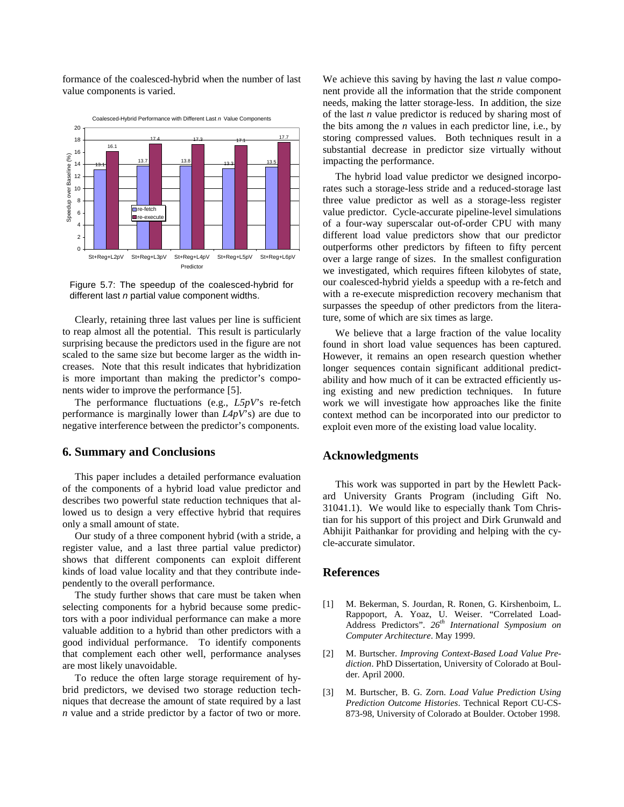formance of the coalesced-hybrid when the number of last value components is varied.



Figure 5.7: The speedup of the coalesced-hybrid for different last  $n$  partial value component widths.

Clearly, retaining three last values per line is sufficient to reap almost all the potential. This result is particularly surprising because the predictors used in the figure are not scaled to the same size but become larger as the width increases. Note that this result indicates that hybridization is more important than making the predictor's components wider to improve the performance [5].

The performance fluctuations (e.g., *L5pV*'s re-fetch performance is marginally lower than *L4pV*'s) are due to negative interference between the predictor's components.

### **6. Summary and Conclusions**

This paper includes a detailed performance evaluation of the components of a hybrid load value predictor and describes two powerful state reduction techniques that allowed us to design a very effective hybrid that requires only a small amount of state.

Our study of a three component hybrid (with a stride, a register value, and a last three partial value predictor) shows that different components can exploit different kinds of load value locality and that they contribute independently to the overall performance.

The study further shows that care must be taken when selecting components for a hybrid because some predictors with a poor individual performance can make a more valuable addition to a hybrid than other predictors with a good individual performance. To identify components that complement each other well, performance analyses are most likely unavoidable.

To reduce the often large storage requirement of hybrid predictors, we devised two storage reduction techniques that decrease the amount of state required by a last *n* value and a stride predictor by a factor of two or more.

We achieve this saving by having the last *n* value component provide all the information that the stride component needs, making the latter storage-less. In addition, the size of the last *n* value predictor is reduced by sharing most of the bits among the *n* values in each predictor line, i.e., by storing compressed values. Both techniques result in a substantial decrease in predictor size virtually without impacting the performance.

The hybrid load value predictor we designed incorporates such a storage-less stride and a reduced-storage last three value predictor as well as a storage-less register value predictor. Cycle-accurate pipeline-level simulations of a four-way superscalar out-of-order CPU with many different load value predictors show that our predictor outperforms other predictors by fifteen to fifty percent over a large range of sizes. In the smallest configuration we investigated, which requires fifteen kilobytes of state, our coalesced-hybrid yields a speedup with a re-fetch and with a re-execute misprediction recovery mechanism that surpasses the speedup of other predictors from the literature, some of which are six times as large.

We believe that a large fraction of the value locality found in short load value sequences has been captured. However, it remains an open research question whether longer sequences contain significant additional predictability and how much of it can be extracted efficiently using existing and new prediction techniques. In future work we will investigate how approaches like the finite context method can be incorporated into our predictor to exploit even more of the existing load value locality.

# **Acknowledgments**

This work was supported in part by the Hewlett Packard University Grants Program (including Gift No. 31041.1). We would like to especially thank Tom Christian for his support of this project and Dirk Grunwald and Abhijit Paithankar for providing and helping with the cycle-accurate simulator.

# **References**

- [1] M. Bekerman, S. Jourdan, R. Ronen, G. Kirshenboim, L. Rappoport, A. Yoaz, U. Weiser. "Correlated Load-Address Predictors". *26th International Symposium on Computer Architecture*. May 1999.
- [2] M. Burtscher. *Improving Context-Based Load Value Prediction*. PhD Dissertation, University of Colorado at Boulder. April 2000.
- [3] M. Burtscher, B. G. Zorn. *Load Value Prediction Using Prediction Outcome Histories*. Technical Report CU-CS-873-98, University of Colorado at Boulder. October 1998.